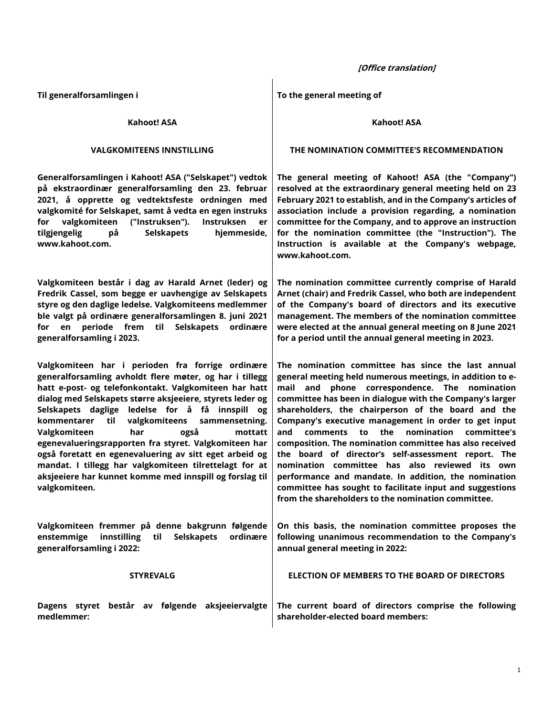[Office translation]

**Kahoot! ASA Kahoot! ASA**

Generalforsamlingen i Kahoot! ASA ("**Selskapet**") vedtok på ekstraordinær generalforsamling den 23. februar 2021, å opprette og vedtektsfeste ordningen med valgkomité for Selskapet, samt å vedta en egen instruks for valgkomiteen ("**Instruksen**"). Instruksen er tilgjengelig på Selskapets hjemmeside, www.kahoot.com.

Valgkomiteen består i dag av Harald Arnet (leder) og Fredrik Cassel, som begge er uavhengige av Selskapets styre og den daglige ledelse. Valgkomiteens medlemmer ble valgt på ordinære generalforsamlingen 8. juni 2021 for en periode frem til Selskapets ordinære generalforsamling i 2023.

Valgkomiteen har i perioden fra forrige ordinære generalforsamling avholdt flere møter, og har i tillegg hatt e-post- og telefonkontakt. Valgkomiteen har hatt dialog med Selskapets større aksjeeiere, styrets leder og Selskapets daglige ledelse for å få innspill og kommentarer til valgkomiteens sammensetning. Valgkomiteen har også mottatt egenevalueringsrapporten fra styret. Valgkomiteen har også foretatt en egenevaluering av sitt eget arbeid og mandat. I tillegg har valgkomiteen tilrettelagt for at aksjeeiere har kunnet komme med innspill og forslag til valgkomiteen.

Valgkomiteen fremmer på denne bakgrunn følgende enstemmige innstilling til Selskapets ordinære generalforsamling i 2022:

Dagens styret består av følgende aksjeeiervalgte medlemmer:

Til generalforsamlingen i To the general meeting of

## **VALGKOMITEENS INNSTILLING THE NOMINATION COMMITTEE'S RECOMMENDATION**

The general meeting of Kahoot! ASA (the "**Company**") resolved at the extraordinary general meeting held on 23 February 2021 to establish, and in the Company's articles of association include a provision regarding, a nomination committee for the Company, and to approve an instruction for the nomination committee (the "**Instruction**"). The Instruction is available at the Company's webpage, www.kahoot.com.

The nomination committee currently comprise of Harald Arnet (chair) and Fredrik Cassel, who both are independent of the Company's board of directors and its executive management. The members of the nomination committee were elected at the annual general meeting on 8 June 2021 for a period until the annual general meeting in 2023.

The nomination committee has since the last annual general meeting held numerous meetings, in addition to email and phone correspondence. The nomination committee has been in dialogue with the Company's larger shareholders, the chairperson of the board and the Company's executive management in order to get input and comments to the nomination committee's composition. The nomination committee has also received the board of director's self-assessment report. The nomination committee has also reviewed its own performance and mandate. In addition, the nomination committee has sought to facilitate input and suggestions from the shareholders to the nomination committee.

On this basis, the nomination committee proposes the following unanimous recommendation to the Company's annual general meeting in 2022:

**STYREVALG ELECTION OF MEMBERS TO THE BOARD OF DIRECTORS**

The current board of directors comprise the following shareholder-elected board members: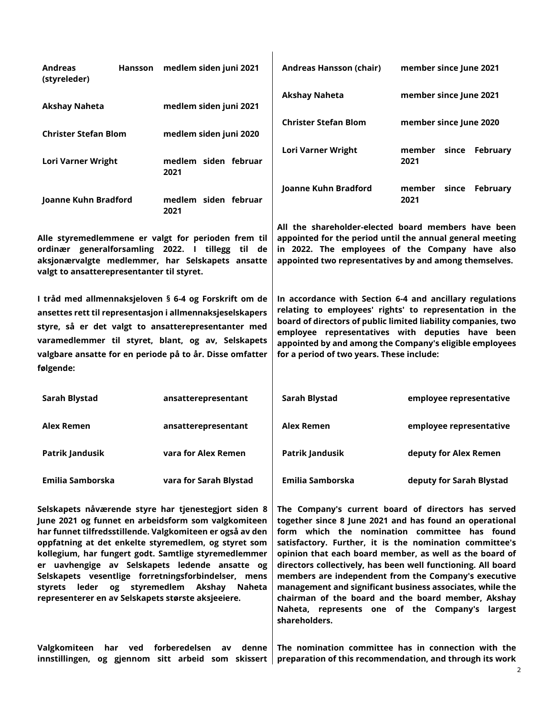| <b>Andreas</b><br>(styreleder)                                                                                                                                                                                                                                                                                                                                                                                                                                                                           |  | Hansson medlem siden juni 2021 | <b>Andreas Hansson (chair)</b>                                                                                                                                                                                                                                                                                                                                                                                                                                                                                                                                                                       | member since June 2021        |
|----------------------------------------------------------------------------------------------------------------------------------------------------------------------------------------------------------------------------------------------------------------------------------------------------------------------------------------------------------------------------------------------------------------------------------------------------------------------------------------------------------|--|--------------------------------|------------------------------------------------------------------------------------------------------------------------------------------------------------------------------------------------------------------------------------------------------------------------------------------------------------------------------------------------------------------------------------------------------------------------------------------------------------------------------------------------------------------------------------------------------------------------------------------------------|-------------------------------|
| <b>Akshay Naheta</b>                                                                                                                                                                                                                                                                                                                                                                                                                                                                                     |  | medlem siden juni 2021         | <b>Akshay Naheta</b>                                                                                                                                                                                                                                                                                                                                                                                                                                                                                                                                                                                 | member since June 2021        |
| <b>Christer Stefan Blom</b>                                                                                                                                                                                                                                                                                                                                                                                                                                                                              |  | medlem siden juni 2020         | <b>Christer Stefan Blom</b>                                                                                                                                                                                                                                                                                                                                                                                                                                                                                                                                                                          | member since June 2020        |
| <b>Lori Varner Wright</b>                                                                                                                                                                                                                                                                                                                                                                                                                                                                                |  | medlem siden februar<br>2021   | <b>Lori Varner Wright</b>                                                                                                                                                                                                                                                                                                                                                                                                                                                                                                                                                                            | member since February<br>2021 |
| Joanne Kuhn Bradford                                                                                                                                                                                                                                                                                                                                                                                                                                                                                     |  | medlem siden februar<br>2021   | Joanne Kuhn Bradford                                                                                                                                                                                                                                                                                                                                                                                                                                                                                                                                                                                 | member since February<br>2021 |
| Alle styremedlemmene er valgt for perioden frem til<br>ordinær generalforsamling 2022. I tillegg til de<br>aksjonærvalgte medlemmer, har Selskapets ansatte<br>valgt to ansatterepresentanter til styret.                                                                                                                                                                                                                                                                                                |  |                                | All the shareholder-elected board members have been<br>appointed for the period until the annual general meeting<br>in 2022. The employees of the Company have also<br>appointed two representatives by and among themselves.                                                                                                                                                                                                                                                                                                                                                                        |                               |
| I tråd med allmennaksjeloven § 6-4 og Forskrift om de<br>ansettes rett til representasjon i allmennaksjeselskapers<br>styre, så er det valgt to ansatterepresentanter med<br>varamedlemmer til styret, blant, og av, Selskapets<br>valgbare ansatte for en periode på to år. Disse omfatter<br>følgende:                                                                                                                                                                                                 |  |                                | In accordance with Section 6-4 and ancillary regulations<br>relating to employees' rights' to representation in the<br>board of directors of public limited liability companies, two<br>employee representatives with deputies have been<br>appointed by and among the Company's eligible employees<br>for a period of two years. These include:                                                                                                                                                                                                                                                     |                               |
| Sarah Blystad                                                                                                                                                                                                                                                                                                                                                                                                                                                                                            |  | ansatterepresentant            | Sarah Blystad                                                                                                                                                                                                                                                                                                                                                                                                                                                                                                                                                                                        | employee representative       |
| <b>Alex Remen</b>                                                                                                                                                                                                                                                                                                                                                                                                                                                                                        |  | ansatterepresentant            | <b>Alex Remen</b>                                                                                                                                                                                                                                                                                                                                                                                                                                                                                                                                                                                    | employee representative       |
| Patrik Jandusik                                                                                                                                                                                                                                                                                                                                                                                                                                                                                          |  | vara for Alex Remen            | Patrik Jandusik                                                                                                                                                                                                                                                                                                                                                                                                                                                                                                                                                                                      | deputy for Alex Remen         |
| Emilia Samborska                                                                                                                                                                                                                                                                                                                                                                                                                                                                                         |  | vara for Sarah Blystad         | Emilia Samborska                                                                                                                                                                                                                                                                                                                                                                                                                                                                                                                                                                                     | deputy for Sarah Blystad      |
| Selskapets nåværende styre har tjenestegjort siden 8<br>June 2021 og funnet en arbeidsform som valgkomiteen<br>har funnet tilfredsstillende. Valgkomiteen er også av den<br>oppfatning at det enkelte styremedlem, og styret som<br>kollegium, har fungert godt. Samtlige styremedlemmer<br>er uavhengige av Selskapets ledende ansatte og<br>Selskapets vesentlige forretningsforbindelser, mens<br>styrets leder<br>og styremedlem Akshay Naheta<br>representerer en av Selskapets største aksjeeiere. |  |                                | The Company's current board of directors has served<br>together since 8 June 2021 and has found an operational<br>form which the nomination committee has found<br>satisfactory. Further, it is the nomination committee's<br>opinion that each board member, as well as the board of<br>directors collectively, has been well functioning. All board<br>members are independent from the Company's executive<br>management and significant business associates, while the<br>chairman of the board and the board member, Akshay<br>Naheta, represents one of the Company's largest<br>shareholders. |                               |
| Valgkomiteen har ved forberedelsen av<br>denne<br>innstillingen, og gjennom sitt arbeid som skissert                                                                                                                                                                                                                                                                                                                                                                                                     |  |                                | The nomination committee has in connection with the<br>preparation of this recommendation, and through its work                                                                                                                                                                                                                                                                                                                                                                                                                                                                                      | 2                             |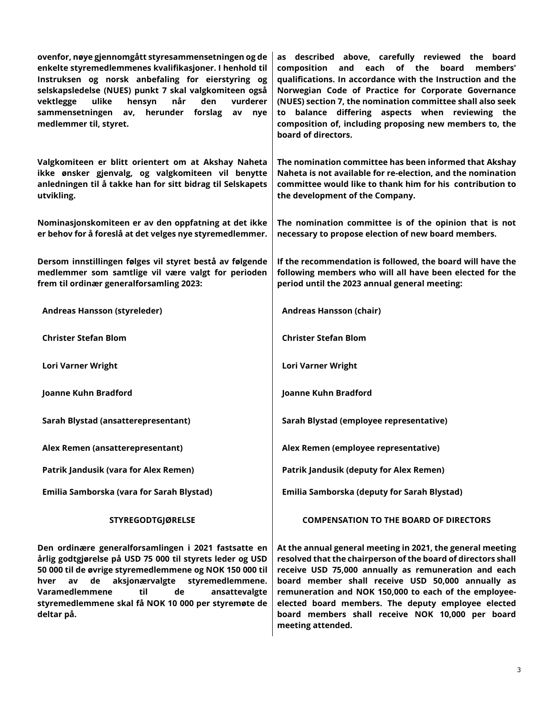| ovenfor, nøye gjennomgått styresammensetningen og de<br>enkelte styremedlemmenes kvalifikasjoner. I henhold til<br>Instruksen og norsk anbefaling for eierstyring og<br>selskapsledelse (NUES) punkt 7 skal valgkomiteen også<br>når<br>hensyn<br>den<br>vektlegge<br>ulike<br>vurderer<br>sammensetningen<br>herunder<br>av,<br>forslag<br>av<br>nye<br>medlemmer til, styret. | as described above, carefully reviewed the board<br>and each of the<br>board<br>composition<br>members'<br>qualifications. In accordance with the Instruction and the<br>Norwegian Code of Practice for Corporate Governance<br>(NUES) section 7, the nomination committee shall also seek<br>to balance differing aspects when reviewing the<br>composition of, including proposing new members to, the<br>board of directors. |  |  |
|---------------------------------------------------------------------------------------------------------------------------------------------------------------------------------------------------------------------------------------------------------------------------------------------------------------------------------------------------------------------------------|---------------------------------------------------------------------------------------------------------------------------------------------------------------------------------------------------------------------------------------------------------------------------------------------------------------------------------------------------------------------------------------------------------------------------------|--|--|
| Valgkomiteen er blitt orientert om at Akshay Naheta<br>ikke ønsker gjenvalg, og valgkomiteen vil benytte<br>anledningen til å takke han for sitt bidrag til Selskapets<br>utvikling.                                                                                                                                                                                            | The nomination committee has been informed that Akshay<br>Naheta is not available for re-election, and the nomination<br>committee would like to thank him for his contribution to<br>the development of the Company.                                                                                                                                                                                                           |  |  |
| Nominasjonskomiteen er av den oppfatning at det ikke<br>er behov for å foreslå at det velges nye styremedlemmer.                                                                                                                                                                                                                                                                | The nomination committee is of the opinion that is not<br>necessary to propose election of new board members.                                                                                                                                                                                                                                                                                                                   |  |  |
| Dersom innstillingen følges vil styret bestå av følgende<br>medlemmer som samtlige vil være valgt for perioden<br>frem til ordinær generalforsamling 2023:                                                                                                                                                                                                                      | If the recommendation is followed, the board will have the<br>following members who will all have been elected for the<br>period until the 2023 annual general meeting:                                                                                                                                                                                                                                                         |  |  |
| Andreas Hansson (styreleder)                                                                                                                                                                                                                                                                                                                                                    | <b>Andreas Hansson (chair)</b>                                                                                                                                                                                                                                                                                                                                                                                                  |  |  |
| <b>Christer Stefan Blom</b>                                                                                                                                                                                                                                                                                                                                                     | <b>Christer Stefan Blom</b>                                                                                                                                                                                                                                                                                                                                                                                                     |  |  |
| <b>Lori Varner Wright</b>                                                                                                                                                                                                                                                                                                                                                       | <b>Lori Varner Wright</b>                                                                                                                                                                                                                                                                                                                                                                                                       |  |  |
| Joanne Kuhn Bradford                                                                                                                                                                                                                                                                                                                                                            | Joanne Kuhn Bradford                                                                                                                                                                                                                                                                                                                                                                                                            |  |  |
| Sarah Blystad (ansatterepresentant)                                                                                                                                                                                                                                                                                                                                             | Sarah Blystad (employee representative)                                                                                                                                                                                                                                                                                                                                                                                         |  |  |
| Alex Remen (ansatterepresentant)                                                                                                                                                                                                                                                                                                                                                | Alex Remen (employee representative)                                                                                                                                                                                                                                                                                                                                                                                            |  |  |
| Patrik Jandusik (vara for Alex Remen)                                                                                                                                                                                                                                                                                                                                           | Patrik Jandusik (deputy for Alex Remen)                                                                                                                                                                                                                                                                                                                                                                                         |  |  |
| Emilia Samborska (vara for Sarah Blystad)                                                                                                                                                                                                                                                                                                                                       | Emilia Samborska (deputy for Sarah Blystad)                                                                                                                                                                                                                                                                                                                                                                                     |  |  |
| <b>STYREGODTGJØRELSE</b>                                                                                                                                                                                                                                                                                                                                                        | <b>COMPENSATION TO THE BOARD OF DIRECTORS</b>                                                                                                                                                                                                                                                                                                                                                                                   |  |  |
|                                                                                                                                                                                                                                                                                                                                                                                 | Den ordinære generalforsamlingen i 2021 fastsatte en $\vert$ At the annual general meeting in 2021 the general meeting                                                                                                                                                                                                                                                                                                          |  |  |

Den ordinære generalforsamlingen i 2021 fastsatte en årlig godtgjørelse på USD 75 000 til styrets leder og USD 50 000 til de øvrige styremedlemmene og NOK 150 000 til hver av de aksjonærvalgte styremedlemmene. Varamedlemmene til de ansattevalgte styremedlemmene skal få NOK 10 000 per styremøte de deltar på.

At the annual general meeting in 2021, the general meeting resolved that the chairperson of the board of directors shall receive USD 75,000 annually as remuneration and each board member shall receive USD 50,000 annually as remuneration and NOK 150,000 to each of the employeeelected board members. The deputy employee elected board members shall receive NOK 10,000 per board meeting attended.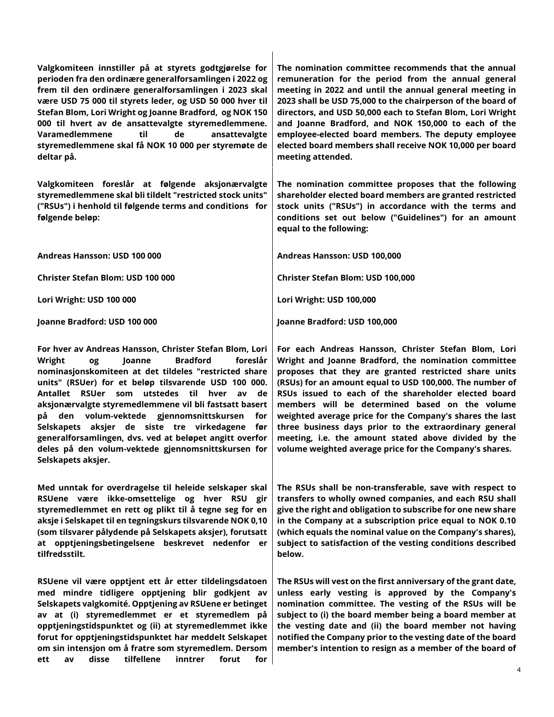Valgkomiteen innstiller på at styrets godtgjørelse for perioden fra den ordinære generalforsamlingen i 2022 og frem til den ordinære generalforsamlingen i 2023 skal være USD 75 000 til styrets leder, og USD 50 000 hver til Stefan Blom, Lori Wright og Joanne Bradford, og NOK 150 000 til hvert av de ansattevalgte styremedlemmene. Varamedlemmene til de ansattevalgte styremedlemmene skal få NOK 10 000 per styremøte de deltar på.

Valgkomiteen foreslår at følgende aksjonærvalgte styremedlemmene skal bli tildelt "restricted stock units" ("**RSUs**") i henhold til følgende terms and conditions for følgende beløp:

Andreas Hansson: USD 100 000

Christer Stefan Blom: USD 100 000

Lori Wright: USD 100 000

Joanne Bradford: USD 100 000

For hver av Andreas Hansson, Christer Stefan Blom, Lori Wright og Joanne Bradford foreslår nominasjonskomiteen at det tildeles "restricted share units" (RSUer) for et beløp tilsvarende USD 100 000. Antallet RSUer som utstedes til hver av de aksjonærvalgte styremedlemmene vil bli fastsatt basert på den volum-vektede gjennomsnittskursen for Selskapets aksjer de siste tre virkedagene før generalforsamlingen, dvs. ved at beløpet angitt overfor deles på den volum-vektede gjennomsnittskursen for Selskapets aksjer.

Med unntak for overdragelse til heleide selskaper skal RSUene være ikke-omsettelige og hver RSU gir styremedlemmet en rett og plikt til å tegne seg for en aksje i Selskapet til en tegningskurs tilsvarende NOK 0,10 (som tilsvarer pålydende på Selskapets aksjer), forutsatt at opptjeningsbetingelsene beskrevet nedenfor er tilfredsstilt.

RSUene vil være opptjent ett år etter tildelingsdatoen med mindre tidligere opptjening blir godkjent av Selskapets valgkomité. Opptjening av RSUene er betinget av at (i) styremedlemmet er et styremedlem på opptjeningstidspunktet og (ii) at styremedlemmet ikke forut for opptjeningstidspunktet har meddelt Selskapet om sin intensjon om å fratre som styremedlem. Dersom ett av disse tilfellene inntrer forut for The nomination committee recommends that the annual remuneration for the period from the annual general meeting in 2022 and until the annual general meeting in 2023 shall be USD 75,000 to the chairperson of the board of directors, and USD 50,000 each to Stefan Blom, Lori Wright and Joanne Bradford, and NOK 150,000 to each of the employee-elected board members. The deputy employee elected board members shall receive NOK 10,000 per board meeting attended.

The nomination committee proposes that the following shareholder elected board members are granted restricted stock units ("**RSUs**") in accordance with the terms and conditions set out below ("**Guidelines**") for an amount equal to the following:

Andreas Hansson: USD 100,000

Christer Stefan Blom: USD 100,000

Lori Wright: USD 100,000

Joanne Bradford: USD 100,000

For each Andreas Hansson, Christer Stefan Blom, Lori Wright and Joanne Bradford, the nomination committee proposes that they are granted restricted share units (RSUs) for an amount equal to USD 100,000. The number of RSUs issued to each of the shareholder elected board members will be determined based on the volume weighted average price for the Company's shares the last three business days prior to the extraordinary general meeting, i.e. the amount stated above divided by the volume weighted average price for the Company's shares.

The RSUs shall be non-transferable, save with respect to transfers to wholly owned companies, and each RSU shall give the right and obligation to subscribe for one new share in the Company at a subscription price equal to NOK 0.10 (which equals the nominal value on the Company's shares), subject to satisfaction of the vesting conditions described below.

The RSUs will vest on the first anniversary of the grant date, unless early vesting is approved by the Company's nomination committee. The vesting of the RSUs will be subject to (i) the board member being a board member at the vesting date and (ii) the board member not having notified the Company prior to the vesting date of the board member's intention to resign as a member of the board of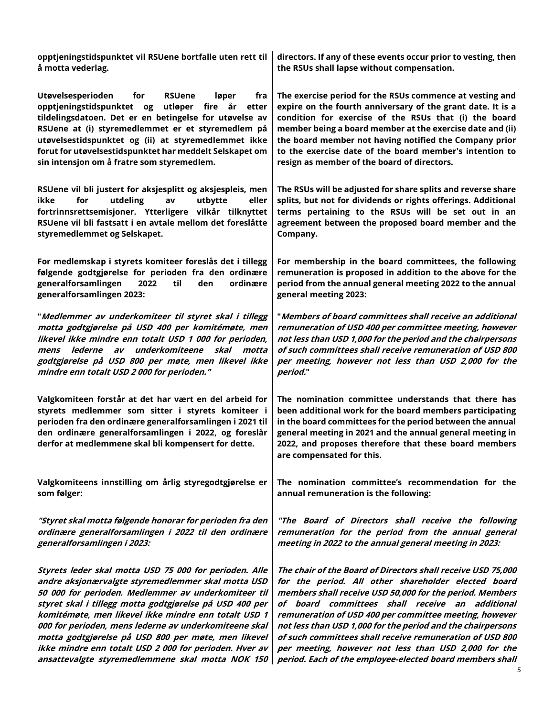opptjeningstidspunktet vil RSUene bortfalle uten rett til å motta vederlag.

Utøvelsesperioden for RSUene løper fra opptjeningstidspunktet og utløper fire år etter tildelingsdatoen. Det er en betingelse for utøvelse av RSUene at (i) styremedlemmet er et styremedlem på utøvelsestidspunktet og (ii) at styremedlemmet ikke forut for utøvelsestidspunktet har meddelt Selskapet om sin intensjon om å fratre som styremedlem.

RSUene vil bli justert for aksjesplitt og aksjespleis, men ikke for utdeling av utbytte eller fortrinnsrettsemisjoner. Ytterligere vilkår tilknyttet RSUene vil bli fastsatt i en avtale mellom det foreslåtte styremedlemmet og Selskapet.

For medlemskap i styrets komiteer foreslås det i tillegg følgende godtgjørelse for perioden fra den ordinære generalforsamlingen 2022 til den ordinære generalforsamlingen 2023:

"Medlemmer av underkomiteer til styret skal i tillegg motta godtgjørelse på USD 400 per komitémøte, men likevel ikke mindre enn totalt USD 1 000 for perioden, mens lederne av underkomiteene skal motta godtgjørelse på USD 800 per møte, men likevel ikke mindre enn totalt USD 2 000 for perioden."

Valgkomiteen forstår at det har vært en del arbeid for styrets medlemmer som sitter i styrets komiteer i perioden fra den ordinære generalforsamlingen i 2021 til den ordinære generalforsamlingen i 2022, og foreslår derfor at medlemmene skal bli kompensert for dette.

Valgkomiteens innstilling om årlig styregodtgjørelse er som følger:

"Styret skal motta følgende honorar for perioden fra den ordinære generalforsamlingen i 2022 til den ordinære generalforsamlingen i 2023:

Styrets leder skal motta USD 75 000 for perioden. Alle andre aksjonærvalgte styremedlemmer skal motta USD 50 000 for perioden. Medlemmer av underkomiteer til styret skal i tillegg motta godtgjørelse på USD 400 per komitémøte, men likevel ikke mindre enn totalt USD 1 000 for perioden, mens lederne av underkomiteene skal motta godtgjørelse på USD 800 per møte, men likevel ikke mindre enn totalt USD 2 000 for perioden. Hver av ansattevalgte styremedlemmene skal motta NOK 150

directors. If any of these events occur prior to vesting, then the RSUs shall lapse without compensation.

The exercise period for the RSUs commence at vesting and expire on the fourth anniversary of the grant date. It is a condition for exercise of the RSUs that (i) the board member being a board member at the exercise date and (ii) the board member not having notified the Company prior to the exercise date of the board member's intention to resign as member of the board of directors.

The RSUs will be adjusted for share splits and reverse share splits, but not for dividends or rights offerings. Additional terms pertaining to the RSUs will be set out in an agreement between the proposed board member and the Company.

For membership in the board committees, the following remuneration is proposed in addition to the above for the period from the annual general meeting 2022 to the annual general meeting 2023:

"Members of board committees shall receive an additional remuneration of USD 400 per committee meeting, however not less than USD 1,000 for the period and the chairpersons of such committees shall receive remuneration of USD 800 per meeting, however not less than USD 2,000 for the period."

The nomination committee understands that there has been additional work for the board members participating in the board committees for the period between the annual general meeting in 2021 and the annual general meeting in 2022, and proposes therefore that these board members are compensated for this.

The nomination committee's recommendation for the annual remuneration is the following:

"The Board of Directors shall receive the following remuneration for the period from the annual general meeting in 2022 to the annual general meeting in 2023:

The chair of the Board of Directors shall receive USD 75,000 for the period. All other shareholder elected board members shall receive USD 50,000 for the period. Members of board committees shall receive an additional remuneration of USD 400 per committee meeting, however not less than USD 1,000 for the period and the chairpersons of such committees shall receive remuneration of USD 800 per meeting, however not less than USD 2,000 for the period. Each of the employee-elected board members shall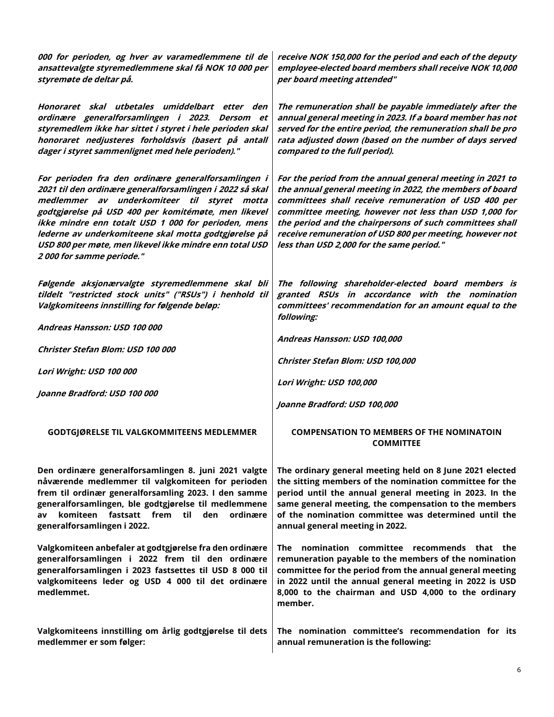| 000 for perioden, og hver av varamedlemmene til de<br>ansattevalgte styremedlemmene skal få NOK 10 000 per<br>styremøte de deltar på.                                                                                                                                                                                                                                                                                       | receive NOK 150,000 for the period and each of the deputy<br>employee-elected board members shall receive NOK 10,000<br>per board meeting attended"                                                                                                                                                                                                                                                          |  |
|-----------------------------------------------------------------------------------------------------------------------------------------------------------------------------------------------------------------------------------------------------------------------------------------------------------------------------------------------------------------------------------------------------------------------------|--------------------------------------------------------------------------------------------------------------------------------------------------------------------------------------------------------------------------------------------------------------------------------------------------------------------------------------------------------------------------------------------------------------|--|
| Honoraret skal utbetales umiddelbart etter den<br>ordinære generalforsamlingen i 2023. Dersom et<br>styremedlem ikke har sittet i styret i hele perioden skal<br>honoraret nedjusteres forholdsvis (basert på antall<br>dager i styret sammenlignet med hele perioden)."                                                                                                                                                    | The remuneration shall be payable immediately after the<br>annual general meeting in 2023. If a board member has not<br>served for the entire period, the remuneration shall be pro<br>rata adjusted down (based on the number of days served<br>compared to the full period).                                                                                                                               |  |
| For perioden fra den ordinære generalforsamlingen i<br>2021 til den ordinære generalforsamlingen i 2022 så skal<br>medlemmer av underkomiteer til styret motta<br>godtgjørelse på USD 400 per komitémøte, men likevel<br>ikke mindre enn totalt USD 1 000 for perioden, mens<br>lederne av underkomiteene skal motta godtgjørelse på<br>USD 800 per møte, men likevel ikke mindre enn total USD<br>2000 for samme periode." | For the period from the annual general meeting in 2021 to<br>the annual general meeting in 2022, the members of board<br>committees shall receive remuneration of USD 400 per<br>committee meeting, however not less than USD 1,000 for<br>the period and the chairpersons of such committees shall<br>receive remuneration of USD 800 per meeting, however not<br>less than USD 2,000 for the same period." |  |
| Følgende aksjonærvalgte styremedlemmene skal bli<br>tildelt "restricted stock units" ("RSUs") i henhold til<br>Valgkomiteens innstilling for følgende beløp:<br>Andreas Hansson: USD 100 000                                                                                                                                                                                                                                | The following shareholder-elected board members is<br>granted RSUs in accordance with the nomination<br>committees' recommendation for an amount equal to the<br>following:                                                                                                                                                                                                                                  |  |
|                                                                                                                                                                                                                                                                                                                                                                                                                             | Andreas Hansson: USD 100,000                                                                                                                                                                                                                                                                                                                                                                                 |  |
| Christer Stefan Blom: USD 100 000                                                                                                                                                                                                                                                                                                                                                                                           | Christer Stefan Blom: USD 100,000                                                                                                                                                                                                                                                                                                                                                                            |  |
| Lori Wright: USD 100 000                                                                                                                                                                                                                                                                                                                                                                                                    | Lori Wright: USD 100,000                                                                                                                                                                                                                                                                                                                                                                                     |  |
| Joanne Bradford: USD 100 000                                                                                                                                                                                                                                                                                                                                                                                                | Joanne Bradford: USD 100,000                                                                                                                                                                                                                                                                                                                                                                                 |  |
| <b>GODTGJØRELSE TIL VALGKOMMITEENS MEDLEMMER</b>                                                                                                                                                                                                                                                                                                                                                                            | <b>COMPENSATION TO MEMBERS OF THE NOMINATOIN</b><br><b>COMMITTEE</b>                                                                                                                                                                                                                                                                                                                                         |  |
| Den ordinære generalforsamlingen 8. juni 2021 valgte<br>nåværende medlemmer til valgkomiteen for perioden<br>frem til ordinær generalforsamling 2023. I den samme<br>generalforsamlingen, ble godtgjørelse til medlemmene<br>komiteen fastsatt frem til den<br>ordinære<br>av<br>generalforsamlingen i 2022.                                                                                                                | The ordinary general meeting held on 8 June 2021 elected<br>the sitting members of the nomination committee for the<br>period until the annual general meeting in 2023. In the<br>same general meeting, the compensation to the members<br>of the nomination committee was determined until the<br>annual general meeting in 2022.                                                                           |  |
| Valgkomiteen anbefaler at godtgjørelse fra den ordinære<br>generalforsamlingen i 2022 frem til den ordinære<br>generalforsamlingen i 2023 fastsettes til USD 8 000 til<br>valgkomiteens leder og USD 4 000 til det ordinære<br>medlemmet.                                                                                                                                                                                   | The nomination committee recommends that the<br>remuneration payable to the members of the nomination<br>committee for the period from the annual general meeting<br>in 2022 until the annual general meeting in 2022 is USD<br>8,000 to the chairman and USD 4,000 to the ordinary<br>member.                                                                                                               |  |
| Valgkomiteens innstilling om årlig godtgjørelse til dets<br>medlemmer er som følger:                                                                                                                                                                                                                                                                                                                                        | The nomination committee's recommendation for its<br>annual remuneration is the following:                                                                                                                                                                                                                                                                                                                   |  |